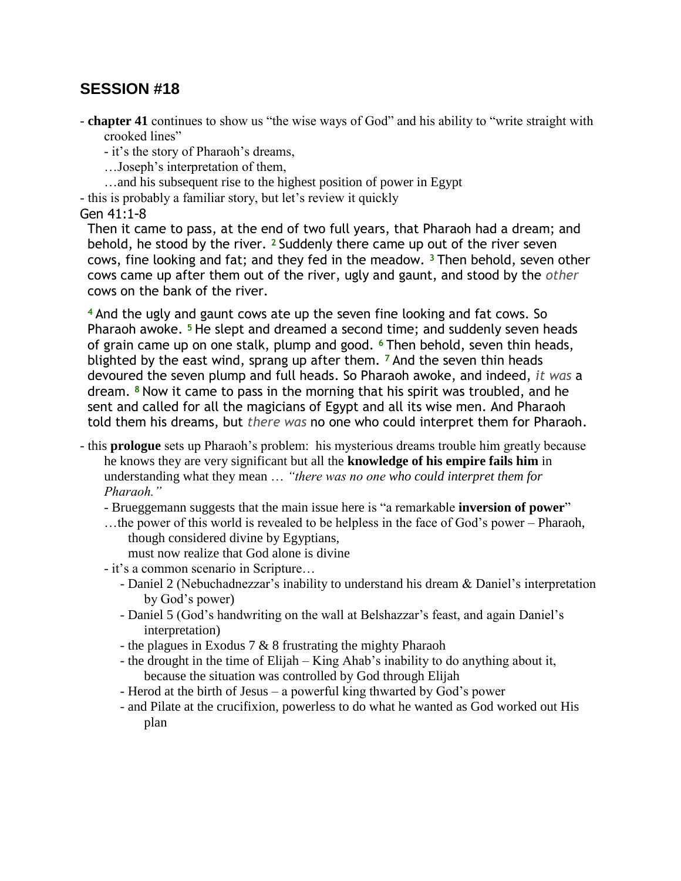## **SESSION #18**

- **chapter 41** continues to show us "the wise ways of God" and his ability to "write straight with crooked lines"

- it's the story of Pharaoh's dreams,

…Joseph's interpretation of them,

…and his subsequent rise to the highest position of power in Egypt

- this is probably a familiar story, but let's review it quickly

Gen 41:1-8

Then it came to pass, at the end of two full years, that Pharaoh had a dream; and behold, he stood by the river. **<sup>2</sup>** Suddenly there came up out of the river seven cows, fine looking and fat; and they fed in the meadow. **<sup>3</sup>** Then behold, seven other cows came up after them out of the river, ugly and gaunt, and stood by the *other*  cows on the bank of the river.

**<sup>4</sup>** And the ugly and gaunt cows ate up the seven fine looking and fat cows. So Pharaoh awoke. **<sup>5</sup>** He slept and dreamed a second time; and suddenly seven heads of grain came up on one stalk, plump and good. **<sup>6</sup>** Then behold, seven thin heads, blighted by the east wind, sprang up after them. **<sup>7</sup>** And the seven thin heads devoured the seven plump and full heads. So Pharaoh awoke, and indeed, *it was* a dream. **<sup>8</sup>** Now it came to pass in the morning that his spirit was troubled, and he sent and called for all the magicians of Egypt and all its wise men. And Pharaoh told them his dreams, but *there was* no one who could interpret them for Pharaoh.

- this **prologue** sets up Pharaoh's problem: his mysterious dreams trouble him greatly because he knows they are very significant but all the **knowledge of his empire fails him** in understanding what they mean … *"there was no one who could interpret them for Pharaoh."*
	- Brueggemann suggests that the main issue here is "a remarkable **inversion of power**"
	- …the power of this world is revealed to be helpless in the face of God's power Pharaoh, though considered divine by Egyptians,

must now realize that God alone is divine

- it's a common scenario in Scripture…
	- Daniel 2 (Nebuchadnezzar's inability to understand his dream & Daniel's interpretation by God's power)
	- Daniel 5 (God's handwriting on the wall at Belshazzar's feast, and again Daniel's interpretation)
	- the plagues in Exodus 7 & 8 frustrating the mighty Pharaoh
	- the drought in the time of Elijah King Ahab's inability to do anything about it, because the situation was controlled by God through Elijah
	- Herod at the birth of Jesus a powerful king thwarted by God's power
	- and Pilate at the crucifixion, powerless to do what he wanted as God worked out His plan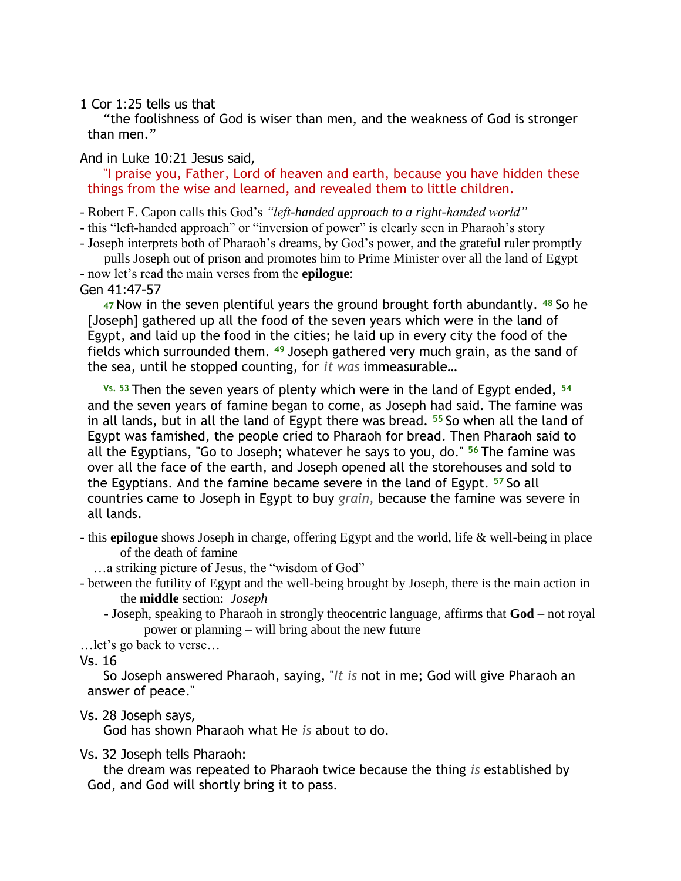1 Cor 1:25 tells us that

"the foolishness of God is wiser than men, and the weakness of God is stronger than men."

And in Luke 10:21 Jesus said,

"I praise you, Father, Lord of heaven and earth, because you have hidden these things from the wise and learned, and revealed them to little children.

- Robert F. Capon calls this God's *"left-handed approach to a right-handed world"*

- this "left-handed approach" or "inversion of power" is clearly seen in Pharaoh's story

- Joseph interprets both of Pharaoh's dreams, by God's power, and the grateful ruler promptly pulls Joseph out of prison and promotes him to Prime Minister over all the land of Egypt

- now let's read the main verses from the **epilogue**:

Gen 41:47-57

**<sup>47</sup>**Now in the seven plentiful years the ground brought forth abundantly. **<sup>48</sup>** So he [Joseph] gathered up all the food of the seven years which were in the land of Egypt, and laid up the food in the cities; he laid up in every city the food of the fields which surrounded them. **<sup>49</sup>** Joseph gathered very much grain, as the sand of the sea, until he stopped counting, for *it was* immeasurable…

**Vs. 53** Then the seven years of plenty which were in the land of Egypt ended, **<sup>54</sup>** and the seven years of famine began to come, as Joseph had said. The famine was in all lands, but in all the land of Egypt there was bread. **<sup>55</sup>** So when all the land of Egypt was famished, the people cried to Pharaoh for bread. Then Pharaoh said to all the Egyptians, "Go to Joseph; whatever he says to you, do." **<sup>56</sup>** The famine was over all the face of the earth, and Joseph opened all the storehouses and sold to the Egyptians. And the famine became severe in the land of Egypt. **<sup>57</sup>** So all countries came to Joseph in Egypt to buy *grain,* because the famine was severe in all lands.

- this **epilogue** shows Joseph in charge, offering Egypt and the world, life & well-being in place of the death of famine

…a striking picture of Jesus, the "wisdom of God"

- between the futility of Egypt and the well-being brought by Joseph, there is the main action in the **middle** section: *Joseph*

- Joseph, speaking to Pharaoh in strongly theocentric language, affirms that **God** – not royal power or planning – will bring about the new future

…let's go back to verse…

Vs. 16

So Joseph answered Pharaoh, saying, "*It is* not in me; God will give Pharaoh an answer of peace."

## Vs. 28 Joseph says,

God has shown Pharaoh what He *is* about to do.

Vs. 32 Joseph tells Pharaoh:

the dream was repeated to Pharaoh twice because the thing *is* established by God, and God will shortly bring it to pass.